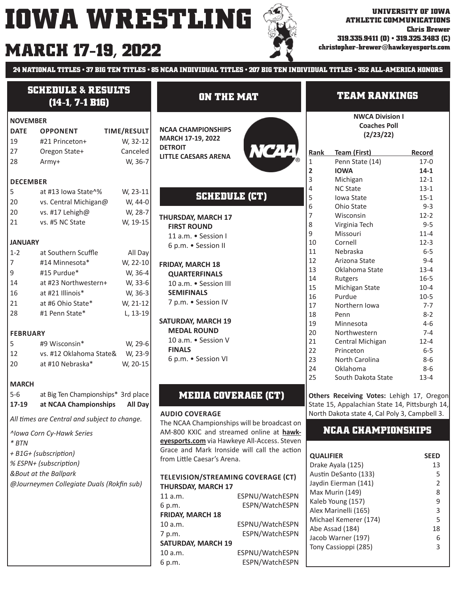# **MARCH 17-19, 2022** Stristopher-brewer@hawkeyesports.com



**24 NATIONAL TITLES • 37 BIG TEN TITLES • 85 NCAA INDIVIDUAL TITLES • 207 BIG TEN INDIVIDUAL TITLES • 352 ALL-AMERICA HONORS**

| <b>SCHEDULE &amp; RESULTS</b><br>$(14-1, 7-1 B1G)$ |                                              |                    | <b>ON THE MAT</b>                                                    |                 | <b>TEAM RANKINGS</b>    |                                                                                             |                 |
|----------------------------------------------------|----------------------------------------------|--------------------|----------------------------------------------------------------------|-----------------|-------------------------|---------------------------------------------------------------------------------------------|-----------------|
| <b>NOVEMBER</b>                                    |                                              |                    |                                                                      |                 |                         | <b>NWCA Division I</b>                                                                      |                 |
| <b>DATE</b>                                        | <b>OPPONENT</b>                              | <b>TIME/RESULT</b> | <b>NCAA CHAMPIONSHIPS</b>                                            |                 |                         | <b>Coaches Poll</b>                                                                         |                 |
| 19                                                 | #21 Princeton+                               | W, 32-12           | MARCH 17-19, 2022                                                    |                 |                         | (2/23/22)                                                                                   |                 |
| 27                                                 | Oregon State+                                | Canceled           | <b>DETROIT</b>                                                       | NCAA            | Rank                    | <b>Team (First)</b>                                                                         | Record          |
| 28                                                 | Army+                                        | W, 36-7            | <b>LITTLE CAESARS ARENA</b>                                          |                 | $\mathbf 1$             | Penn State (14)                                                                             | $17-0$          |
|                                                    |                                              |                    |                                                                      |                 | $\overline{\mathbf{2}}$ | <b>IOWA</b>                                                                                 | $14 - 1$        |
| <b>DECEMBER</b>                                    |                                              |                    |                                                                      |                 | 3                       | Michigan                                                                                    | $12 - 1$        |
| 5                                                  | at #13 Iowa State^%                          | W, 23-11           |                                                                      |                 | 4                       | <b>NC State</b>                                                                             | $13-1$          |
| 20                                                 | vs. Central Michigan@                        | W, 44-0            | <b>SCHEDULE (CT)</b>                                                 |                 | 5                       | Iowa State                                                                                  | $15 - 1$        |
| 20                                                 | vs. #17 Lehigh@                              | W, 28-7            |                                                                      |                 | 6                       | Ohio State                                                                                  | $9 - 3$         |
| 21                                                 | vs. #5 NC State                              | W, 19-15           | <b>THURSDAY, MARCH 17</b>                                            |                 | 7                       | Wisconsin                                                                                   | $12-2$          |
|                                                    |                                              |                    | <b>FIRST ROUND</b>                                                   |                 | 8                       | Virginia Tech                                                                               | $9 - 5$         |
|                                                    |                                              |                    | 11 a.m. • Session I                                                  |                 | 9                       | Missouri                                                                                    | $11 - 4$        |
| <b>JANUARY</b>                                     |                                              |                    | 6 p.m. • Session II                                                  |                 | 10<br>11                | Cornell<br>Nebraska                                                                         | $12-3$<br>$6-5$ |
| $1 - 2$                                            | at Southern Scuffle                          | All Day            |                                                                      |                 | 12                      | Arizona State                                                                               | $9 - 4$         |
| 7                                                  | #14 Minnesota*                               | W, 22-10           | <b>FRIDAY, MARCH 18</b>                                              |                 | 13                      | Oklahoma State                                                                              | $13 - 4$        |
| 9                                                  | #15 Purdue*                                  | W, 36-4            | <b>QUARTERFINALS</b>                                                 |                 | 14                      | Rutgers                                                                                     | $16 - 5$        |
| 14                                                 | at #23 Northwestern+                         | W, 33-6            | 10 a.m. • Session III                                                |                 | 15                      | Michigan State                                                                              | $10 - 4$        |
| 16                                                 | at #21 Illinois*                             | W, 36-3            | <b>SEMIFINALS</b>                                                    |                 | 16                      | Purdue                                                                                      | $10-5$          |
| 21                                                 | at #6 Ohio State*                            | W, 21-12           | 7 p.m. • Session IV                                                  |                 | 17                      | Northern Iowa                                                                               | $7 - 7$         |
| 28                                                 | #1 Penn State*                               | L, 13-19           |                                                                      |                 | 18                      | Penn                                                                                        | $8 - 2$         |
|                                                    |                                              |                    | <b>SATURDAY, MARCH 19</b>                                            |                 | 19                      | Minnesota                                                                                   | $4 - 6$         |
| <b>FEBRUARY</b>                                    |                                              |                    | <b>MEDAL ROUND</b>                                                   |                 | 20                      | Northwestern                                                                                | $7 - 4$         |
| 5                                                  | #9 Wisconsin*                                | W, 29-6            | 10 a.m. • Session V                                                  |                 | 21                      | Central Michigan                                                                            | $12 - 4$        |
| 12                                                 | vs. #12 Oklahoma State&                      | W, 23-9            | <b>FINALS</b>                                                        |                 | 22                      | Princeton                                                                                   | $6-5$           |
| 20                                                 | at #10 Nebraska*                             | W, 20-15           | 6 p.m. • Session VI                                                  |                 | 23                      | North Carolina                                                                              | $8 - 6$         |
|                                                    |                                              |                    |                                                                      |                 | 24                      | Oklahoma                                                                                    | $8 - 6$         |
| <b>MARCH</b>                                       |                                              |                    |                                                                      |                 | 25                      | South Dakota State                                                                          | $13 - 4$        |
| $5-6$                                              | at Big Ten Championships* 3rd place          |                    |                                                                      |                 |                         |                                                                                             |                 |
| 17-19                                              | at NCAA Championships                        | All Day            | <b>MEDIA COVERAGE (CT)</b>                                           |                 |                         | Others Receiving Votes: Lehigh 17, Oregon<br>State 15, Appalachian State 14, Pittsburgh 14, |                 |
|                                                    |                                              |                    |                                                                      |                 |                         | North Dakota state 4, Cal Poly 3, Campbell 3.                                               |                 |
|                                                    | All times are Central and subject to change. |                    | <b>AUDIO COVERAGE</b><br>The NCAA Championships will be broadcast on |                 |                         |                                                                                             |                 |
|                                                    | ^lowa Corn Cy-Hawk Series                    |                    | AM-800 KXIC and streamed online at hawk-                             |                 |                         | <b>NCAA CHAMPIONSHIPS</b>                                                                   |                 |
| $*$ BTN                                            |                                              |                    | eyesports.com via Hawkeye All-Access. Steven                         |                 |                         |                                                                                             |                 |
|                                                    |                                              |                    | Grace and Mark Ironside will call the action                         |                 |                         |                                                                                             |                 |
|                                                    | + B1G+ (subscription)                        |                    | from Little Caesar's Arena.                                          |                 | <b>QUALIFIER</b>        |                                                                                             | <b>SEED</b>     |
|                                                    | % ESPN+ (subscription)                       |                    |                                                                      |                 |                         | Drake Ayala (125)                                                                           | 13              |
|                                                    | &Bout at the Ballpark                        |                    | TELEVISION/STREAMING COVERAGE (CT)                                   |                 |                         | Austin DeSanto (133)                                                                        | 5               |
|                                                    | @Journeymen Collegiate Duals (Rokfin sub)    |                    | THURSDAY, MARCH 17                                                   |                 |                         | Jaydin Eierman (141)                                                                        | 2               |
|                                                    |                                              |                    | 11 a.m.                                                              | ESPNU/WatchESPN |                         | Max Murin (149)                                                                             | 8               |
|                                                    |                                              |                    | 6 p.m.                                                               | ESPN/WatchESPN  |                         | Kaleb Young (157)<br>Alex Marinelli (165)                                                   | 9               |
|                                                    |                                              |                    | <b>FRIDAY, MARCH 18</b>                                              |                 |                         | Michael Kemerer (174)                                                                       | 3<br>5          |
|                                                    |                                              |                    | 10 a.m.                                                              | ESPNU/WatchESPN |                         | Abe Assad (184)                                                                             | 18              |
|                                                    |                                              |                    | 7 p.m.                                                               | ESPN/WatchESPN  |                         | Jacob Warner (197)                                                                          | 6               |
|                                                    |                                              |                    | <b>SATURDAY, MARCH 19</b>                                            |                 |                         | Tony Cassioppi (285)                                                                        | 3               |

10 a.m. ESPNU/WatchESPN 6 p.m. ESPN/WatchESPN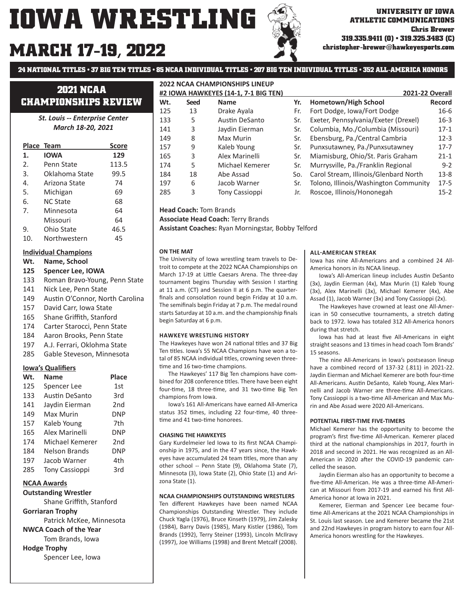# **MARCH 17-19, 2022**

**christopher-brewer@hawkeyesports.com**

**24 NATIONAL TITLES • 37 BIG TEN TITLES • 85 NCAA INDIVIDUAL TITLES • 207 BIG TEN INDIVIDUAL TITLES • 352 ALL-AMERICA HONORS**

**2022 NCAA CHAMPIONSHIPS LINEUP**

# **2021 NCAA CHAMPIONSHIPS REVIEW**

*St. Louis -- Enterprise Center March 18-20, 2021*

|                  | Place Team      | <b>Score</b> |
|------------------|-----------------|--------------|
| 1.               | <b>IOWA</b>     | 129          |
| $\mathfrak{D}$ . | Penn State      | 113.5        |
| 3.               | Oklahoma State  | 99.5         |
| 4.               | Arizona State   | 74           |
| 5.               | Michigan        | 69           |
| 6.               | <b>NC State</b> | 68           |
| 7                | Minnesota       | 64           |
|                  | Missouri        | 64           |
| 9.               | Ohio State      | 46.5         |
| 10               | Northwestern    | 45           |

### **Individual Champions**

- **Wt. Name, School**
- **125 Spencer Lee, IOWA**
- 133 Roman Bravo-Young, Penn State
- 141 Nick Lee, Penn State
- 149 Austin O'Connor, North Carolina
- 157 David Carr, Iowa State
- 165 Shane Griffith, Stanford
- 174 Carter Starocci, Penn State
- 184 Aaron Brooks, Penn State
- 197 A.J. Ferrari, Oklohma State
- 285 Gable Steveson, Minnesota

### **Iowa's Qualifiers**

| Wt. | <b>Name</b>           | <b>Place</b>    |
|-----|-----------------------|-----------------|
| 125 | Spencer Lee           | 1st             |
| 133 | Austin DeSanto        | 3rd             |
| 141 | Jaydin Eierman        | 2 <sub>nd</sub> |
| 149 | Max Murin             | DNP             |
| 157 | Kaleb Young           | 7th             |
| 165 | Alex Marinelli        | DNP             |
| 174 | Michael Kemerer       | 2 <sub>nd</sub> |
| 184 | Nelson Brands         | DNP             |
| 197 | Jacob Warner          | 4th             |
| 285 | <b>Tony Cassioppi</b> | 3rd             |

## **NCAA Awards**

**Outstanding Wrestler** Shane Griffith, Stanford **Gorriaran Trophy** Patrick McKee, Minnesota **NWCA Coach of the Year** Tom Brands, Iowa **Hodge Trophy** Spencer Lee, Iowa

| #2 IOWA HAWKEYES (14-1, 7-1 BIG TEN) |             |                       |     | 2021-22 Overall                       |               |
|--------------------------------------|-------------|-----------------------|-----|---------------------------------------|---------------|
| Wt.                                  | <b>Seed</b> | <b>Name</b>           | Yr. | Hometown/High School                  | <b>Record</b> |
| 125                                  | 13          | Drake Ayala           | Fr. | Fort Dodge, Iowa/Fort Dodge           | $16 - 6$      |
| 133                                  | 5           | <b>Austin DeSanto</b> | Sr. | Exeter, Pennsylvania/Exeter (Drexel)  | $16 - 3$      |
| 141                                  | 3           | Jaydin Eierman        | Sr. | Columbia, Mo./Columbia (Missouri)     | $17-1$        |
| 149                                  | 8           | Max Murin             | Sr. | Ebensburg, Pa./Central Cambria        | $12 - 3$      |
| 157                                  | 9           | Kaleb Young           | Sr. | Punxsutawney, Pa./Punxsutawney        | $17 - 7$      |
| 165                                  | 3           | Alex Marinelli        | Sr. | Miamisburg, Ohio/St. Paris Graham     | $21 - 1$      |
| 174                                  | 5           | Michael Kemerer       | Sr. | Murrysville, Pa./Franklin Regional    | $9 - 2$       |
| 184                                  | 18          | Abe Assad             | So. | Carol Stream, Illinois/Glenbard North | $13 - 8$      |
| 197                                  | 6           | Jacob Warner          | Sr. | Tolono, Illinois/Washington Community | $17-5$        |
| 285                                  | 3           | <b>Tony Cassioppi</b> | Jr. | Roscoe, Illinois/Hononegah            | $15 - 2$      |

**Head Coach:** Tom Brands

**Associate Head Coach:** Terry Brands

**Assistant Coaches:** Ryan Morningstar, Bobby Telford

#### **ON THE MAT**

The University of Iowa wrestling team travels to Detroit to compete at the 2022 NCAA Championships on March 17-19 at Little Caesars Arena. The three-day tournament begins Thursday with Session I starting at 11 a.m. (CT) and Session II at 6 p.m. The quarterfinals and consolation round begin Friday at 10 a.m. The semifinals begin Friday at 7 p.m. The medal round starts Saturday at 10 a.m. and the championship finals begin Saturday at 6 p.m.

#### **HAWKEYE WRESTLING HISTORY**

The Hawkeyes have won 24 national titles and 37 Big Ten titles. Iowa's 55 NCAA Champions have won a total of 85 NCAA individual titles, crowning seven threetime and 16 two-time champions.

 The Hawkeyes' 117 Big Ten champions have combined for 208 conference titles. There have been eight four-time, 18 three-time, and 31 two-time Big Ten champions from Iowa.

 Iowa's 161 All-Americans have earned All-America status 352 times, including 22 four-time, 40 threetime and 41 two-time honorees.

#### **CHASING THE HAWKEYES**

Gary Kurdelmeier led Iowa to its first NCAA Championship in 1975, and in the 47 years since, the Hawkeyes have accumulated 24 team titles, more than any other school -- Penn State (9), Oklahoma State (7), Minnesota (3), Iowa State (2), Ohio State (1) and Arizona State (1).

#### **NCAA CHAMPIONSHIPS OUTSTANDING WRESTLERS**

Ten different Hawkeyes have been named NCAA Championships Outstanding Wrestler. They include Chuck Yagla (1976), Bruce Kinseth (1979), Jim Zalesky (1984), Barry Davis (1985), Mary Kistler (1986), Tom Brands (1992), Terry Steiner (1993), Lincoln McIlravy (1997), Joe Williams (1998) and Brent Metcalf (2008).

#### **ALL-AMERICAN STREAK**

Iowa has nine All-Americans and a combined 24 All-America honors in its NCAA lineup.

Iowa's All-American lineup includes Austin DeSanto (3x), Jaydin Eierman (4x), Max Murin (1) Kaleb Young (3x), Alex Marinelli (3x), Michael Kemerer (4x), Abe Assad (1), Jacob Warner (3x) and Tony Cassioppi (2x).

 The Hawkeyes have crowned at least one All-American in 50 consecutive tournaments, a stretch dating back to 1972. Iowa has totaled 312 All-America honors during that stretch.

Iowa has had at least five All-Americans in eight straight seasons and 13 times in head coach Tom Brands' 15 seasons.

The nine All-Americans in Iowa's postseason lineup have a combined record of 137-32 (.811) in 2021-22. Jaydin Eierman and Michael Kemerer are both four-time All-Americans. Austin DeSanto, Kaleb Young, Alex Marinelli and Jacob Warner are three-time All-Americans. Tony Cassioppi is a two-time All-American and Max Murin and Abe Assad were 2020 All-Americans.

#### **POTENTIAL FIRST-TIME FIVE-TIMERS**

Michael Kemerer has the opportunity to become the program's first five-time All-American. Kemerer placed third at the national championships in 2017, fourth in 2018 and second in 2021. He was recognized as an All-American in 2020 after the COVID-19 pandemic cancelled the season.

 Jaydin Eierman also has an opportunity to become a five-time All-American. He was a three-time All-American at Missouri from 2017-19 and earned his first All-America honor at Iowa in 2021.

 Kemerer, Eierman and Spencer Lee became fourtime All-Americans at the 2021 NCAA Championships in St. Louis last season. Lee and Kemerer became the 21st and 22nd Hawkeyes in program history to earn four All-America honors wrestling for the Hawkeyes.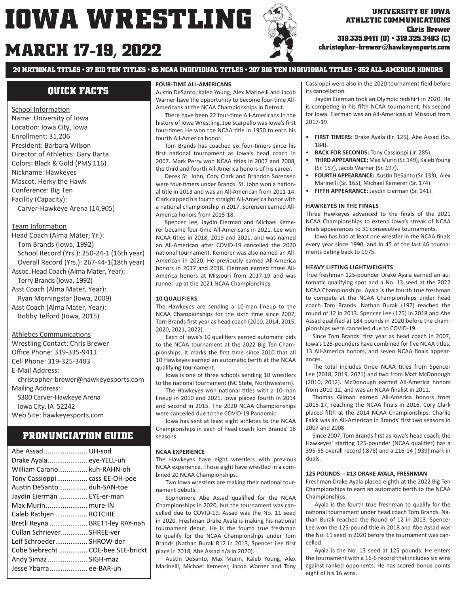# **MARCH 17 christopher-brewer@hawkeyesports.com -19, 2022**



**ATHLETIC COMMUNICATIONS Chris Brewer 319.335.9411 (O) • 319.325.3483 (C)**

**24 NATIONAL TITLES • 37 BIG TEN TITLES • 85 NCAA INDIVIDUAL TITLES • 207 BIG TEN INDIVIDUAL TITLES • 352 ALL-AMERICA HONORS**

# **QUICK FACTS**

School Information Name: University of Iowa Location: Iowa City, Iowa Enrollment: 31,206 President: Barbara Wilson Director of Athletics: Gary Barta Colors: Black & Gold (PMS 116) Nickname: Hawkeyes Mascot: Herky the Hawk Conference: Big Ten Facility (Capacity): Carver-Hawkeye Arena (14,905)

### Team Information

Head Coach (Alma Mater, Yr.): Tom Brands (Iowa, 1992) School Record (Yrs.): 250-24-1 (16th year) Overall Record (Yrs.): 267-44-1(18th year) Assoc. Head Coach (Alma Mater, Year): Terry Brands (Iowa, 1992) Asst Coach (Alma Mater, Year): Ryan Morningstar (Iowa, 2009) Asst Coach (Alma Mater, Year): Bobby Telford (Iowa, 2015)

### Athletics Communications

Wrestling Contact: Chris Brewer Office Phone: 319-335-9411 Cell Phone: 319-325-3483 E-Mail Address: christopher-brewer@hawkeyesports.com Mailing Address: S300 Carver-Hawkeye Arena Iowa City, IA 52242 Web Site: hawkeyesports.com

# **PRONUNCIATION GUIDE**

| Abe Assad  UH-sod                  |  |
|------------------------------------|--|
| Drake Ayala eye-YELL-uh            |  |
| William Carano  kuh-RAHN-oh        |  |
| Tony Cassioppi cass-EE-OH-pee      |  |
| Austin DeSanto  duh-SAN-toe        |  |
| Jaydin Eierman  EYE-er-man         |  |
| Max Murin mure-IN                  |  |
| Caleb Rathjen  ROTCHIE             |  |
| Bretli Reyna  BRETT-ley RAY-nah    |  |
| Cullan Schriever SHREE-ver         |  |
| Leif Schroeder SHROW-der           |  |
| Cobe Siebrecht  COE-bee SEE-brickt |  |
| Andy Simaz  SIGH-maz               |  |
| Jesse Ybarra ee-BAR-uh             |  |
|                                    |  |

#### **FOUR-TIME ALL-AMERICANS**

Austin DeSanto, Kaleb Young, Alex Marinelli and Jacob Warner have the opportunity to become four-time All-Americans at the NCAA Championships in Detroit.

There have been 22 four-time All-Americans in the history of Iowa Wrestling. Joe Scarpello was Iowa's first four-timer. He won the NCAA title in 1950 to earn his fourth All-America honor.

Tom Brands has coached six four-timers since his first national tournament as Iowa's head coach in 2007. Mark Perry won NCAA titles in 2007 and 2008, the third and fourth All-America honors of his career.

 Derek St. John, Cory Clark and Brandon Sorensen were four-timers under Brands. St. John won a national title in 2013 and was an All-American from 2011-14. Clark capped his fourth straight All-America honor with a national championship in 2017. Sorensen earned All-America honors from 2015-18.

 Spencer Lee, Jaydin Eierman and Michael Kemerer became four-time All-Americans in 2021. Lee won NCAA titles in 2018, 2019 and 2021, and was named an All-American after COVID-19 cancelled the 2020 national tournament. Kemerer was also named an All-American in 2020. He previously earned All-America honors in 2017 and 2018. Eierman earned three All-America honors at Missouri from 2017-19 and was runner-up at the 2021 NCAA Championships

### **10 QUALIFIERS**

The Hawkeyes are sending a 10-man lineup to the NCAA Championships for the sixth time since 2007, Tom Brands first year as head coach (2010, 2014, 2015, 2020, 2021, 2022).

Each of Iowa's 10 qualifiers earned automatic bids to the NCAA tournament at the 2022 Big Ten Championships. It marks the first time since 2010 that all 10 Hawkeyes earned an automatic berth at the NCAA qualifying tournament.

 Iowa is one of three schools sending 10 wrestlers to the national tournament (NC State, Northwestern).

The Hawkeyes won national titles with a 10-man lineup in 2010 and 2021. Iowa placed fourth in 2014 and second in 2015. The 2020 NCAA Championships were cancelled due to the COVID-19 Pandemic.

 Iowa has sent at least eight athletes to the NCAA Championships in each of head coach Tom Brands' 16 seasons.

#### **NCAA EXPERIENCE**

The Hawkeyes have eight wrestlers with previous NCAA experience. Those eight have wrestled in a combined 20 NCAA Championships.

Two Iowa wrestlers are making their national tournament debuts.

Sophomore Abe Assad qualified for the NCAA Championships in 2020, but the tournament was cancelled due to COVID-19. Assad was the No. 11 seed in 2020. Freshman Drake Ayala is making his national tournament debut. He is the fourth true freshman to qualify for the NCAA Championships under Tom Brands (Nathan Burak R12 in 2013, Spencer Lee first place in 2018, Abe Assad n/a in 2020).

Austin DeSanto, Max Murin, Kaleb Young, Alex Marinelli, Michael Kemerer, Jacob Warner and Tony Cassioppi were also in the 2020 tournament field before its cancellation.

 Jaydin Eierman took an Olympic redshirt in 2020. He is competing in his fifth NCAA tournament, his second for Iowa. Eierman was an All-American at Missouri from 2017-19.

- **FIRST TIMERS:** Drake Ayala (Fr. 125), Abe Assad (So. 184).
- **BACK FOR SECONDS:** Tony Cassioppi (Jr. 285).
- **THIRD APPEARANCE:** Max Murin (Sr. 149), Kaleb Young (Sr. 157), Jacob Warner (Sr. 197).
- **FOURTH APPEARANCE:** Austin DeSanto (Sr. 133), Alex Marinelli (Sr. 165), Michael Kemerer (Sr. 174).
- **FIFTH APPEARANCE:** Jaydin Eierman (Sr. 141).

#### **HAWKEYES IN THE FINALS**

Three Hawkeyes advanced to the finals of the 2021 NCAA Championships to extend Iowa's streak of NCAA finals appearances to 31 consecutive tournaments.

Iowa has had at least one wrestler in the NCAA finals every year since 1990, and in 45 of the last 46 tournaments dating back to 1975.

#### **HEAVY LIFTING LIGHTWEIGHTS**

True freshman 125-pounder Drake Ayala earned an automatic qualifying spot and a No. 13 seed at the 2022 NCAA Championships. Ayala is the fourth true freshman to compete at the NCAA Championships under head coach Tom Brands. Nathan Burak (197) reached the round of 12 in 2013. Spencer Lee (125) in 2018 and Abe Assad qualified at 184 pounds in 2020 before the championships were cancelled due to COVID-19.

Since Tom Brands' first year as head coach in 2007, Iowa's 125-pounders have combined for five NCAA titles, 13 All-America honors, and seven NCAA finals appearances.

The total includes three NCAA titles from Spencer Lee (2018, 2019, 2021) and two from Matt McDonough (2010, 2012). McDonough earned All-America honors from 2010-12, and was an NCAA finalist in 2011.

 Thomas Gilman earned All-America honors from 2015-17, reaching the NCAA finals in 2016. Cory Clark placed fifth at the 2014 NCAA Championships. Charlie Falck was an All-American in Brands' first two seasons in 2007 and 2008.

Since 2007, Tom Brands first as Iowa's head coach, the Hawkeyes' starting 125-pounder (NCAA qualifier) has a 395-55 overall record (.878) and a 216-14 (.939) mark in duals.

#### **125 POUNDS -- #13 DRAKE AYALA, FRESHMAN**

Freshman Drake Ayala placed eighth at the 2022 Big Ten Championships to earn an automatic berth to the NCAA Championships.

 Ayala is the fourth true freshman to qualify for the national tournament under head coach Tom Brands. Nathan Burak reached the Round of 12 in 2013. Spencer Lee won the 125-pound title in 2018 and Abe Assad was the No. 11 seed in 2020 before the tournament was cancelled.

 Ayala is the No. 13 seed at 125 pounds. He enters the tournament with a 16-6 record that includes six wins against ranked opponents. He has scored bonus points eight of his 16 wins.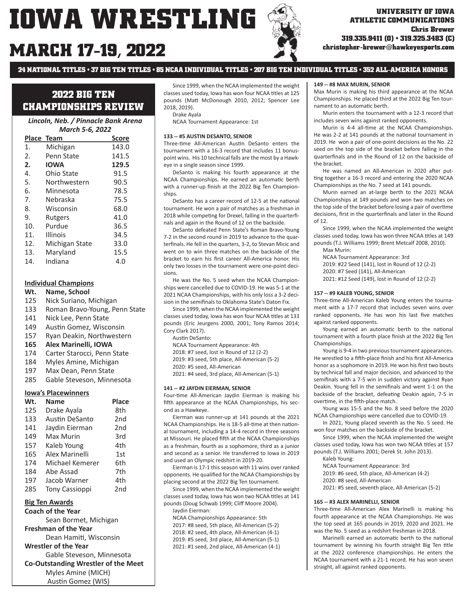# **MARCH 17-19, 2022**



**ATHLETIC COMMUNICATIONS Chris Brewer 319.335.9411 (O) • 319.325.3483 (C)**

**christopher-brewer@hawkeyesports.com**

**24 NATIONAL TITLES • 37 BIG TEN TITLES • 85 NCAA INDIVIDUAL TITLES • 207 BIG TEN INDIVIDUAL TITLES • 352 ALL-AMERICA HONORS**

# **2022 BIG TEN CHAMPIONSHIPS REVIEW**

### *Lincoln, Neb. / Pinnacle Bank Arena March 5-6, 2022*

|     | Place Team      | Score |
|-----|-----------------|-------|
| 1.  | Michigan        | 143.0 |
| 2.  | Penn State      | 141.5 |
| 2.  | <b>IOWA</b>     | 129.5 |
| 4.  | Ohio State      | 91.5  |
| 5.  | Northwestern    | 90.5  |
| 6.  | Minnesota       | 78.5  |
| 7.  | Nebraska        | 75.5  |
| 8.  | Wisconsin       | 68.0  |
| 9.  | Rutgers         | 41.0  |
| 10. | Purdue          | 36.5  |
| 11. | <b>Illinois</b> | 34.5  |
| 12. | Michigan State  | 33.0  |
| 13. | Maryland        | 15.5  |
| 14. | Indiana         | 4.0   |

### **Individual Champions**

- **Wt. Name, School**
- 125 Nick Suriano, Michigan
- 133 Roman Bravo-Young, Penn State
- 141 Nick Lee, Penn State
- 149 Austin Gomez, Wisconsin
- 157 Ryan Deakin, Northwestern
- **165 Alex Marinelli, IOWA**
- 174 Carter Starocci, Penn State
- 184 Myles Amine, Michigan
- 197 Max Dean, Penn State<br>285 Gable Steveson, Minne
- Gable Steveson, Minnesota

#### **Iowa's Placewinners**

| Wt. | <b>Name</b>           | Place           |
|-----|-----------------------|-----------------|
| 125 | Drake Ayala           | 8th             |
| 133 | Austin DeSanto        | 2 <sub>nd</sub> |
| 141 | Jaydin Eierman        | 2 <sub>nd</sub> |
| 149 | Max Murin             | 3rd             |
| 157 | Kaleb Young           | 4th             |
| 165 | Alex Marinelli        | 1st             |
| 174 | Michael Kemerer       | 6th             |
| 184 | Abe Assad             | 7th             |
| 197 | Jacob Warner          | 4th             |
| 285 | <b>Tony Cassioppi</b> | 2 <sub>nd</sub> |

#### **Big Ten Awards**

**Coach of the Year** Sean Bormet, Michigan **Freshman of the Year** Dean Hamiti, Wisconsin **Wrestler of the Year** Gable Steveson, Minnesota **Co-Outstanding Wrestler of the Meet** Myles Amine (MICH) Austin Gomez (WIS)

 Since 1999, when the NCAA implemented the weight classes used today, Iowa has won four NCAA titles at 125 pounds (Matt McDonough 2010, 2012; Spencer Lee 2018, 2019).

Drake Ayala

NCAA Tournament Appearance: 1st

#### **133 -- #5 AUSTIN DESANTO, SENIOR**

Three-time All-American Austin DeSanto enters the tournament with a 16-3 record that includes 11 bonuspoint wins. His 10 technical falls are the most by a Hawkeye in a single season since 1999.

 DeSanto is making his fourth appearance at the NCAA Championships. He earned an automatic berth with a runner-up finish at the 2022 Big Ten Championships.

DeSanto has a career record of 12-5 at the national tournament. He won a pair of matches as a freshman in 2018 while competing for Drexel, falling in the quarterfinals and again in the Round of 12 on the backside.

 DeSanto defeated Penn State's Roman Bravo-Young 7-2 in the second round in 2019 to advance to the quarterfinals. He fell in the quarters, 3-2, to Stevan Micic and went on to win three matches on the backside of the bracket to earn his first career All-America honor. His only two losses in the tournament were one-point decisions.

 He was the No. 5 seed when the NCAA Championships were cancelled due to COVID-19. He was 5-1 at the 2021 NCAA Championships, with his only loss a 3-2 decision in the semifinals to Oklahoma State's Daton Fix.

 Since 1999, when the NCAA implemented the weight classes used today, Iowa has won four NCAA titles at 133 pounds (Eric Jeurgens 2000, 2001; Tony Ramos 2014; Cory Clark 2017).

Austin DeSanto:

NCAA Tournament Appearance: 4th

2018: #7 seed, lost in Round of 12 (2-2)

- 2019: #3 seed, 5th place, All-American (5-2)
- 2020: #5 seed, All-American

2021: #4 seed, 3rd place, All-American (5-1)

#### **141 -- #2 JAYDIN EIERMAN, SENIOR**

Four-time All-American Jaydin Eierman is making his fifth appearance at the NCAA Championships, his second as a Hawkeye.

 Eierman was runner-up at 141 pounds at the 2021 NCAA Championships. He is 18-5 all-time at then national tournament, including a 14-4 record in three seasons at Missouri. He placed fifth at the NCAA Championships as a freshman, fourth as a sophomore, third as a junior and second as a senior. He transferred to Iowa in 2019 and used an Olympic redshirt in 2019-20.

 Eierman is 17-1 this season with 11 wins over ranked opponents. He qualified for the NCAA Championships by placing second at the 2022 Big Ten tournament.

 Since 1999, when the NCAA implemented the weight classes used today, Iowa has won two NCAA titles at 141 pounds (Doug Schwab 1999; Cliff Moore 2004). Jaydin Eierman:

 NCAA Championships Appearance: 5th 2017: #8 seed, 5th place, All-American (5-2)

- 2018: #2 seed, 4th place, All-American (4-1)
- 2019: #5 seed, 3rd place, All-American (5-1)
- 2021: #1 seed, 2nd place, All-American (4-1)

#### **149 -- #8 MAX MURIN, SENIOR**

Max Murin is making his third appearance at the NCAA Championships. He placed third at the 2022 Big Ten tournament to an automatic berth.

 Murin enters the tournament with a 12-3 record that includes seven wins against ranked opponents.

Murin is 4-4 all-time at the NCAA Championships. He was 2-2 at 141 pounds at the national tournament in 2019. He won a pair of one-point decisions as the No. 22 seed on the top side of the bracket before falling in the quarterfinals and in the Round of 12 on the backside of the bracket.

He was named an All-American in 2020 after putting together a 16-3 record and entering the 2020 NCAA Championships as the No. 7 seed at 141 pounds.

 Murin earned an at-large berth to the 2021 NCAA Championships at 149 pounds and won two matches on the top side of the bracket before losing a pair of overtime decisions, first in the quarterfinals and later in the Round of 12.

 Since 1999, when the NCAA implemented the weight classes used today, Iowa has won three NCAA titles at 149 pounds (T.J. Williams 1999; Brent Metcalf 2008, 2010).

Max Murin:

 NCAA Tournament Appearance: 3rd 2019: #22 Seed (141), lost in Round of 12 (2-2) 2020: #7 Seed (141), All-American

2021: #12 Seed (149), lost in Round of 12 (2-2)

#### **157 -- #9 KALEB YOUNG, SENIOR**

Three-time All-American Kaleb Young enters the tournament with a 17-7 record that includes seven wins over ranked opponents. He has won his last five matches against ranked opponents.

Young earned an automatic berth to the national tournament with a fourth place finish at the 2022 Big Ten Championships.

 Young is 9-4 in two previous tournament appearances. He wrestled to a fifth-place finish and his first All-America honor as a sophomore in 2019. He won his first two bouts by technical fall and major decision, and advanced to the semifinals with a 7-5 win in sudden victory against Ryan Deakin. Young fell in the semifinals and went 1-1 on the backside of the bracket, defeating Deakin again, 7-5 in overtime, in the fifth-place match.

 Young was 15-5 and the No. 8 seed before the 2020 NCAA Championships were cancelled due to COVID-19.

 In 2021, Young placed seventh as the No. 5 seed. He won four matches on the backside of the bracket.

 Since 1999, when the NCAA implemented the weight classes used today, Iowa has won two NCAA titles at 157 pounds (T.J. Williams 2001; Derek St. John 2013).

Kaleb Young:

 NCAA Tournament Appearance: 3rd 2019: #6 seed, 5th place, All-American (4-2) 2020: #8 seed, All-American

2021: #5 seed, seventh place, All-American (5-2)

#### **165 -- #3 ALEX MARINELLI, SENIOR**

Three-time All-American Alex Marinelli is making his fourth appearance at the NCAA Championships. He was the top seed at 165 pounds in 2019, 2020 and 2021. He was the No. 5 seed as a redshirt freshman in 2018.

Marinelli earned an automatic berth to the national tournament by winning his fourth straight Big Ten title at the 2022 conference championships. He enters the NCAA tournament with a 21-1 record. He has won seven straight, all against ranked opponents.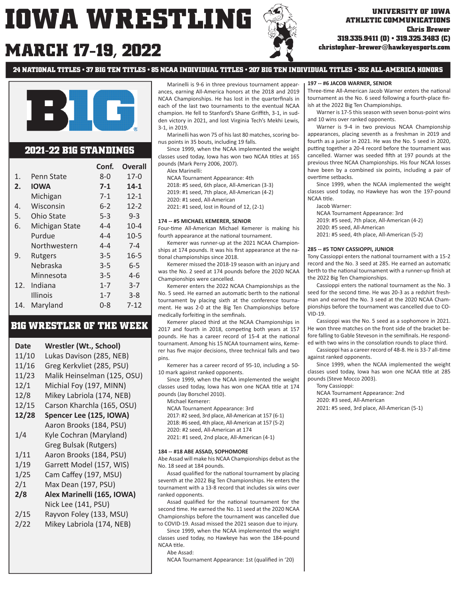# **MARCH 17 christopher-brewer@hawkeyesports.com -19, 2022**



# **ATHLETIC COMMUNICATIONS Chris Brewer 319.335.9411 (O) • 319.325.3483 (C)**

**24 NATIONAL TITLES • 37 BIG TEN TITLES • 85 NCAA INDIVIDUAL TITLES • 207 BIG TEN INDIVIDUAL TITLES • 352 ALL-AMERICA HONORS**



## **2021-22 B1G STANDINGS**

|     |                 | Conf.   | Overall  |
|-----|-----------------|---------|----------|
| 1.  | Penn State      | $8 - 0$ | $17 - 0$ |
| 2.  | <b>IOWA</b>     | $7 - 1$ | $14-1$   |
|     | Michigan        | $7-1$   | $12 - 1$ |
| 4.  | Wisconsin       | $6 - 2$ | $12 - 2$ |
| 5.  | Ohio State      | $5 - 3$ | $9 - 3$  |
| 6.  | Michigan State  | $4 - 4$ | $10 - 4$ |
|     | Purdue          | $4 - 4$ | $10-5$   |
|     | Northwestern    | $4 - 4$ | $7 - 4$  |
| 9.  | Rutgers         | $3 - 5$ | $16 - 5$ |
|     | Nebraska        | $3 - 5$ | 6-5      |
|     | Minnesota       | $3 - 5$ | 4-6      |
| 12. | Indiana         | $1 - 7$ | $3 - 7$  |
|     | <b>Illinois</b> | $1 - 7$ | $3 - 8$  |
| 14. | Maryland        | $0 - 8$ | 7-12     |

# **B1G WRESTLER OF THE WEEK**

| <b>Date</b> | Wrestler (Wt., School)      |
|-------------|-----------------------------|
| 11/10       | Lukas Davison (285, NEB)    |
| 11/16       | Greg Kerkvliet (285, PSU)   |
| 11/23       | Malik Heinselman (125, OSU) |
| 12/1        | Michial Foy (197, MINN)     |
| 12/8        | Mikey Labriola (174, NEB)   |
| 12/15       | Carson Kharchla (165, OSU)  |
| 12/28       | Spencer Lee (125, IOWA)     |
|             | Aaron Brooks (184, PSU)     |
| 1/4         | Kyle Cochran (Maryland)     |
|             | Greg Bulsak (Rutgers)       |
| 1/11        | Aaron Brooks (184, PSU)     |
| 1/19        | Garrett Model (157, WIS)    |
| 1/25        | Cam Caffey (197, MSU)       |
| 2/1         | Max Dean (197, PSU)         |
| 2/8         | Alex Marinelli (165, IOWA)  |
|             | Nick Lee (141, PSU)         |
| 2/15        | Rayvon Foley (133, MSU)     |
| 2/22        | Mikey Labriola (174, NEB)   |
|             |                             |

 Marinelli is 9-6 in three previous tournament appearances, earning All-America honors at the 2018 and 2019 NCAA Championships. He has lost in the quarterfinals in each of the last two tournaments to the eventual NCAA champion. He fell to Stanford's Shane Griffith, 3-1, in sudden victory in 2021, and lost Virginia Tech's Mekhi Lewis, 3-1, in 2019.

 Marinelli has won 75 of his last 80 matches, scoring bonus points in 35 bouts, including 19 falls.

 Since 1999, when the NCAA implemented the weight classes used today, Iowa has won two NCAA titles at 165 pounds (Mark Perry 2006, 2007).

Alex Marinelli:

 NCAA Tournament Appearance: 4th 2018: #5 seed, 6th place, All-American (3-3) 2019: #1 seed, 7th place, All-American (4-2) 2020: #1 seed, All-American

2021: #1 seed, lost in Round of 12, (2-1)

#### **174 -- #5 MICHAEL KEMERER, SENIOR**

Four-time All-American Michael Kemerer is making his fourth appearance at the national tournament.

 Kemerer was runner-up at the 2021 NCAA Championships at 174 pounds. It was his first appearance at the national championships since 2018.

 Kemerer missed the 2018-19 season with an injury and was the No. 2 seed at 174 pounds before the 2020 NCAA Championships were cancelled.

 Kemerer enters the 2022 NCAA Championships as the No. 5 seed. He earned an automatic berth to the national tournament by placing sixth at the conference tournament. He was 2-0 at the Big Ten Championships before medically forfeiting in the semfinals.

 Kemerer placed third at the NCAA Championships in 2017 and fourth in 2018, competing both years at 157 pounds. He has a career record of 15-4 at the national tournament. Among his 15 NCAA tournament wins, Kemerer has five major decisions, three technical falls and two pins.

 Kemerer has a career record of 95-10, including a 50- 10 mark against ranked opponents.

 Since 1999, when the NCAA implemented the weight classes used today, Iowa has won one NCAA title at 174 pounds (Jay Borschel 2010).

Michael Kemerer:

 NCAA Tournament Appearance: 3rd 2017: #2 seed, 3rd place, All-American at 157 (6-1)

- 2018: #6 seed, 4th place, All-American at 157 (5-2)
- 2020: #2 seed, All-American at 174

2021: #1 seed, 2nd place, All-American (4-1)

#### **184 -- #18 ABE ASSAD, SOPHOMORE**

Abe Assad will make his NCAA Championships debut as the No. 18 seed at 184 pounds.

Assad qualified for the national tournament by placing seventh at the 2022 Big Ten Championships. He enters the tournament with a 13-8 record that includes six wins over ranked opponents.

Assad qualified for the national tournament for the second time. He earned the No. 11 seed at the 2020 NCAA Championships before the tournament was cancelled due to COVID-19. Assad missed the 2021 season due to injury.

 Since 1999, when the NCAA implemented the weight classes used today, no Hawkeye has won the 184-pound NCAA title.

#### Abe Assad:

NCAA Tournament Appearance: 1st (qualified in '20)

#### **197 -- #6 JACOB WARNER, SENIOR**

Three-time All-American Jacob Warner enters the national tournament as the No. 6 seed following a fourth-place finish at the 2022 Big Ten Championships.

 Warner is 17-5 this season with seven bonus-point wins and 10 wins over ranked opponents.

 Warner is 9-4 in two previous NCAA Championship appearances, placing seventh as a freshman in 2019 and fourth as a junior in 2021. He was the No. 5 seed in 2020, putting together a 20-4 record before the tournament was cancelled. Warner was seeded fifth at 197 pounds at the previous three NCAA Championships. His four NCAA losses have been by a combined six points, including a pair of overtime sethacks.

 Since 1999, when the NCAA implemented the weight classes used today, no Hawkeye has won the 197-pound NCAA title.

- Jacob Warner:
- NCAA Tournament Appearance: 3rd
- 2019: #5 seed, 7th place, All-American (4-2)
- 2020: #5 seed, All-American
- 2021: #5 seed, 4th place, All-American (5-2)

#### **285 -- #5 TONY CASSIOPPI, JUNIOR**

Tony Cassioppi enters the national tournament with a 15-2 record and the No. 3 seed at 285. He earned an automatic berth to the national tournament with a runner-up finish at the 2022 Big Ten Championships.

Cassioppi enters the national tournament as the No. 3 seed for the second time. He was 20-3 as a redshirt freshman and earned the No. 3 seed at the 2020 NCAA Championships before the tournament was cancelled due to CO-VID-19.

 Cassioppi was the No. 5 seed as a sophomore in 2021. He won three matches on the front side of the bracket before falling to Gable Steveson in the semifinals. He responded with two wins in the consolation rounds to place third.

Cassioppi has a career record of 48-8. He is 33-7 all-time against ranked opponents.

 Since 1999, when the NCAA implemented the weight classes used today, Iowa has won one NCAA title at 285 pounds (Steve Mocco 2003).

Tony Cassioppi:

 NCAA Tournament Appearance: 2nd 2020: #3 seed, All-American 2021: #5 seed, 3rd place, All-American (5-1)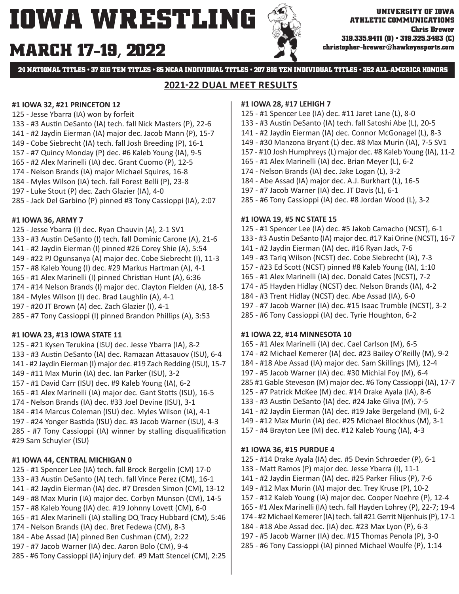# **MARCH 17-19, 2022**



**24 NATIONAL TITLES • 37 BIG TEN TITLES • 85 NCAA INDIVIDUAL TITLES • 207 BIG TEN INDIVIDUAL TITLES • 352 ALL-AMERICA HONORS**

# **2021-22 DUAL MEET RESULTS**

## **#1 IOWA 32, #21 PRINCETON 12**

- 125 Jesse Ybarra (IA) won by forfeit
- 133 #3 Austin DeSanto (IA) tech. fall Nick Masters (P), 22-6
- 141 #2 Jaydin Eierman (IA) major dec. Jacob Mann (P), 15-7
- 149 Cobe Siebrecht (IA) tech. fall Josh Breeding (P), 16-1
- 157 #7 Quincy Monday (P) dec. #6 Kaleb Young (IA), 9-5
- 165 #2 Alex Marinelli (IA) dec. Grant Cuomo (P), 12-5
- 174 Nelson Brands (IA) major Michael Squires, 16-8
- 184 Myles Wilson (IA) tech. fall Forest Belli (P), 23-8
- 197 Luke Stout (P) dec. Zach Glazier (IA), 4-0
- 285 Jack Del Garbino (P) pinned #3 Tony Cassioppi (IA), 2:07

## **#1 IOWA 36, ARMY 7**

- 125 Jesse Ybarra (I) dec. Ryan Chauvin (A), 2-1 SV1 133 - #3 Austin DeSanto (I) tech. fall Dominic Carone (A), 21-6 141 - #2 Jaydin Eierman (I) pinned #26 Corey Shie (A), 5:54
- 149 #22 PJ Ogunsanya (A) major dec. Cobe Siebrecht (I), 11-3
- 157 #8 Kaleb Young (I) dec. #29 Markus Hartman (A), 4-1
- 165 #1 Alex Marinelli (I) pinned Christian Hunt (A), 6:36
- 174 #14 Nelson Brands (I) major dec. Clayton Fielden (A), 18-5
- 184 Myles Wilson (I) dec. Brad Laughlin (A), 4-1
- 197 #20 JT Brown (A) dec. Zach Glazier (I), 4-1
- 285 #7 Tony Cassioppi (I) pinned Brandon Phillips (A), 3:53

# **#1 IOWA 23, #13 IOWA STATE 11**

- 125 #21 Kysen Terukina (ISU) dec. Jesse Ybarra (IA), 8-2 133 - #3 Austin DeSanto (IA) dec. Ramazan Attasauov (ISU), 6-4 141 - #2 Jaydin Eierman (I) major dec. #19 Zach Redding (ISU), 15-7
- 149 #11 Max Murin (IA) dec. Ian Parker (ISU), 3-2
- 157 #1 David Carr (ISU) dec. #9 Kaleb Young (IA), 6-2
- 165 #1 Alex Marinelli (IA) major dec. Gant Stotts (ISU), 16-5
- 174 Nelson Brands (IA) dec. #33 Joel Devine (ISU), 3-1
- 184 #14 Marcus Coleman (ISU) dec. Myles Wilson (IA), 4-1
- 197 #24 Yonger Bastida (ISU) dec. #3 Jacob Warner (ISU), 4-3

 $285 - #7$  Tony Cassioppi (IA) winner by stalling disqualification #29 Sam Schuyler (ISU)

# **#1 IOWA 44, CENTRAL MICHIGAN 0**

- 125 #1 Spencer Lee (IA) tech. fall Brock Bergelin (CM) 17-0
- 133 #3 Austin DeSanto (IA) tech. fall Vince Perez (CM), 16-1
- 141 #2 Jaydin Eierman (IA) dec. #7 Dresden Simon (CM), 13-12
- 149 #8 Max Murin (IA) major dec. Corbyn Munson (CM), 14-5
- 157 #8 Kaleb Young (IA) dec. #19 Johnny Lovett (CM), 6-0
- 165 #1 Alex Marinelli (IA) stalling DQ Tracy Hubbard (CM), 5:46
- 174 Nelson Brands (IA) dec. Bret Fedewa (CM), 8-3
- 184 Abe Assad (IA) pinned Ben Cushman (CM), 2:22
- 197 #7 Jacob Warner (IA) dec. Aaron Bolo (CM), 9-4
- 285 #6 Tony Cassioppi (IA) injury def. #9 Matt Stencel (CM), 2:25

## **#1 IOWA 28, #17 LEHIGH 7**

- 125 #1 Spencer Lee (IA) dec. #11 Jaret Lane (L), 8-0
- 133 #3 Austin DeSanto (IA) tech. fall Satoshi Abe (L), 20-5
- 141 #2 Jaydin Eierman (IA) dec. Connor McGonagel (L), 8-3
- 149 #30 Manzona Bryant (L) dec. #8 Max Murin (IA), 7-5 SV1
- 157 #10 Josh Humphreys (L) major dec. #8 Kaleb Young (IA), 11-2
- 165 #1 Alex Marinelli (IA) dec. Brian Meyer (L), 6-2
- 174 Nelson Brands (IA) dec. Jake Logan (L), 3-2
- 184 Abe Assad (IA) major dec. A.J. Burkhart (L), 16-5
- 197 #7 Jacob Warner (IA) dec. JT Davis (L), 6-1
- 285 #6 Tony Cassioppi (IA) dec. #8 Jordan Wood (L), 3-2

## **#1 IOWA 19, #5 NC STATE 15**

- 125 #1 Spencer Lee (IA) dec. #5 Jakob Camacho (NCST), 6-1
- 133 #3 Austin DeSanto (IA) major dec. #17 Kai Orine (NCST), 16-7
- 141 #2 Jaydin Eierman (IA) dec. #16 Ryan Jack, 7-6
- 149 #3 Tariq Wilson (NCST) dec. Cobe Siebrecht (IA), 7-3
- 157 #23 Ed ScoƩ (NCST) pinned #8 Kaleb Young (IA), 1:10
- 165 #1 Alex Marinelli (IA) dec. Donald Cates (NCST), 7-2
- 174 #5 Hayden Hidlay (NCST) dec. Nelson Brands (IA), 4-2
- 184 #3 Trent Hidlay (NCST) dec. Abe Assad (IA), 6-0
- 197 #7 Jacob Warner (IA) dec. #15 Isaac Trumble (NCST), 3-2
- 285 #6 Tony Cassioppi (IA) dec. Tyrie Houghton, 6-2

# **#1 IOWA 22, #14 MINNESOTA 10**

165 - #1 Alex Marinelli (IA) dec. Cael Carlson (M), 6-5 174 - #2 Michael Kemerer (IA) dec. #23 Bailey O'Reilly (M), 9-2 184 - #18 Abe Assad (IA) major dec. Sam Skillings (M), 12-4 197 - #5 Jacob Warner (IA) dec. #30 Michial Foy (M), 6-4 285 #1 Gable Steveson (M) major dec. #6 Tony Cassioppi (IA), 17-7 125 - #7 Patrick McKee (M) dec. #14 Drake Ayala (IA), 8-6 133 - #3 Austin DeSanto (IA) dec. #24 Jake Gliva (M), 7-5 141 - #2 Jaydin Eierman (IA) dec. #19 Jake Bergeland (M), 6-2 149 - #12 Max Murin (IA) dec. #25 Michael Blockhus (M), 3-1 157 - #4 Brayton Lee (M) dec. #12 Kaleb Young (IA), 4-3

# **#1 IOWA 36, #15 PURDUE 4**

- 125 #14 Drake Ayala (IA) dec. #5 Devin Schroeder (P), 6-1
- 133 MaƩ Ramos (P) major dec. Jesse Ybarra (I), 11-1
- 141 #2 Jaydin Eierman (IA) dec. #25 Parker Filius (P), 7-6
- 149 #12 Max Murin (IA) major dec. Trey Kruse (P), 10-2
- 157 #12 Kaleb Young (IA) major dec. Cooper Noehre (P), 12-4
- 165 #1 Alex Marinelli (IA) tech. fall Hayden Lohrey (P), 22-7; 19-4
- 174 #2 Michael Kemerer (IA) tech. fall #21 Gerrit Nijenhuis (P), 17-1
- 184 #18 Abe Assad dec. (IA) dec. #23 Max Lyon (P), 6-3
- 197 #5 Jacob Warner (IA) dec. #15 Thomas Penola (P), 3-0
- 285 #6 Tony Cassioppi (IA) pinned Michael Woulfe (P), 1:14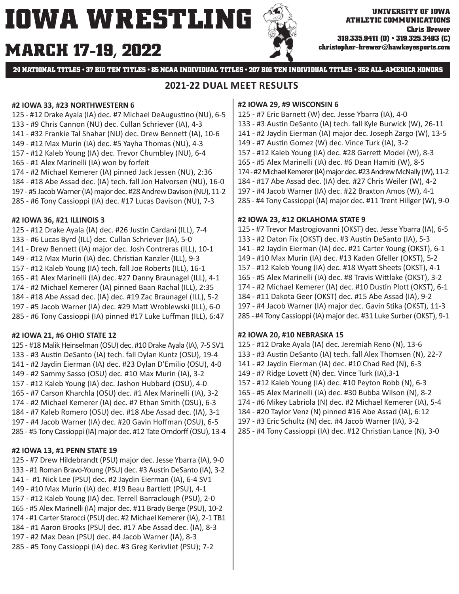# **MARCH 17 christopher-brewer@hawkeyesports.com -19, 2022**



**24 NATIONAL TITLES • 37 BIG TEN TITLES • 85 NCAA INDIVIDUAL TITLES • 207 BIG TEN INDIVIDUAL TITLES • 352 ALL-AMERICA HONORS**

# **2021-22 DUAL MEET RESULTS**

## **#2 IOWA 33, #23 NORTHWESTERN 6**

- 125 #12 Drake Ayala (IA) dec. #7 Michael DeAugustino (NU), 6-5
- 133 #9 Chris Cannon (NU) dec. Cullan Schriever (IA), 4-3
- 141 #32 Frankie Tal Shahar (NU) dec. Drew Bennett (IA), 10-6
- 149 #12 Max Murin (IA) dec. #5 Yayha Thomas (NU), 4-3
- 157 #12 Kaleb Young (IA) dec. Trevor Chumbley (NU), 6-4
- 165 #1 Alex Marinelli (IA) won by forfeit
- 174 #2 Michael Kemerer (IA) pinned Jack Jessen (NU), 2:36
- 184 #18 Abe Assad dec. (IA) tech. fall Jon Halvorsen (NU), 16-0
- 197 #5 Jacob Warner (IA) major dec. #28 Andrew Davison (NU), 11-2
- 285 #6 Tony Cassioppi (IA) dec. #17 Lucas Davison (NU), 7-3

## **#2 IOWA 36, #21 ILLINOIS 3**

125 - #12 Drake Ayala (IA) dec. #26 Justin Cardani (ILL), 7-4 133 - #6 Lucas Byrd (ILL) dec. Cullan Schriever (IA), 5-0 141 - Drew BenneƩ (IA) major dec. Josh Contreras (ILL), 10-1 149 - #12 Max Murin (IA) dec. Christian Kanzler (ILL), 9-3 157 - #12 Kaleb Young (IA) tech. fall Joe Roberts (ILL), 16-1 165 - #1 Alex Marinelli (IA) dec. #27 Danny Braunagel (ILL), 4-1 174 - #2 Michael Kemerer (IA) pinned Baan Rachal (ILL), 2:35 184 - #18 Abe Assad dec. (IA) dec. #19 Zac Braunagel (ILL), 5-2 197 - #5 Jacob Warner (IA) dec. #29 MaƩ Wroblewski (ILL), 6-0 285 - #6 Tony Cassioppi (IA) pinned #17 Luke Luffman (ILL), 6:47

# **#2 IOWA 21, #6 OHIO STATE 12**

125 - #18 Malik Heinselman (OSU) dec. #10 Drake Ayala (IA), 7-5 SV1 133 - #3 Austin DeSanto (IA) tech. fall Dylan Kuntz (OSU), 19-4 141 - #2 Jaydin Eierman (IA) dec. #23 Dylan D'Emilio (OSU), 4-0 149 - #2 Sammy Sasso (OSU) dec. #10 Max Murin (IA), 3-2 157 - #12 Kaleb Young (IA) dec. Jashon Hubbard (OSU), 4-0 165 - #7 Carson Kharchla (OSU) dec. #1 Alex Marinelli (IA), 3-2 174 - #2 Michael Kemerer (IA) dec. #7 Ethan Smith (OSU), 6-3 184 - #7 Kaleb Romero (OSU) dec. #18 Abe Assad dec. (IA), 3-1 197 - #4 Jacob Warner (IA) dec. #20 Gavin Hoffman (OSU), 6-5 285 - #5 Tony Cassioppi (IA) major dec. #12 Tate Orndorff (OSU), 13-4

# **#2 IOWA 13, #1 PENN STATE 19**

125 - #7 Drew Hildebrandt (PSU) major dec. Jesse Ybarra (IA), 9-0 133 - #1 Roman Bravo-Young (PSU) dec. #3 Austin DeSanto (IA), 3-2 141 - #1 Nick Lee (PSU) dec. #2 Jaydin Eierman (IA), 6-4 SV1 149 - #10 Max Murin (IA) dec. #19 Beau Bartlett (PSU), 4-1 157 - #12 Kaleb Young (IA) dec. Terrell Barraclough (PSU), 2-0 165 - #5 Alex Marinelli (IA) major dec. #11 Brady Berge (PSU), 10-2 174 - #1 Carter Starocci (PSU) dec. #2 Michael Kemerer (IA), 2-1 TB1 184 - #1 Aaron Brooks (PSU) dec. #17 Abe Assad dec. (IA), 8-3 197 - #2 Max Dean (PSU) dec. #4 Jacob Warner (IA), 8-3 285 - #5 Tony Cassioppi (IA) dec. #3 Greg Kerkvliet (PSU); 7-2

## **#2 IOWA 29, #9 WISCONSIN 6**

- 125 #7 Eric BarneƩ (W) dec. Jesse Ybarra (IA), 4-0 133 - #3 Austin DeSanto (IA) tech. fall Kyle Burwick (W), 26-11
- 141 #2 Jaydin Eierman (IA) major dec. Joseph Zargo (W), 13-5
- 149 #7 Austin Gomez (W) dec. Vince Turk (IA), 3-2
- 157 #12 Kaleb Young (IA) dec. #28 Garrett Model (W), 8-3
- 165 #5 Alex Marinelli (IA) dec. #6 Dean Hamiti (W), 8-5
- 174 #2 Michael Kemerer (IA) major dec. #23 Andrew McNally (W), 11-2
- 184 #17 Abe Assad dec. (IA) dec. #27 Chris Weiler (W), 4-2
- 197 #4 Jacob Warner (IA) dec. #22 Braxton Amos (W), 4-1
- 285 #4 Tony Cassioppi (IA) major dec. #11 Trent Hillger (W), 9-0

# **#2 IOWA 23, #12 OKLAHOMA STATE 9**

125 - #7 Trevor Mastrogiovanni (OKST) dec. Jesse Ybarra (IA), 6-5 133 - #2 Daton Fix (OKST) dec. #3 Austin DeSanto (IA), 5-3 141 - #2 Jaydin Eierman (IA) dec. #21 Carter Young (OKST), 6-1 149 - #10 Max Murin (IA) dec. #13 Kaden Gfeller (OKST), 5-2 157 - #12 Kaleb Young (IA) dec. #18 WyaƩ Sheets (OKST), 4-1 165 - #5 Alex Marinelli (IA) dec. #8 Travis Wittlake (OKST), 3-2 174 - #2 Michael Kemerer (IA) dec. #10 Dustin Plott (OKST), 6-1 184 - #11 Dakota Geer (OKST) dec. #15 Abe Assad (IA), 9-2 197 - #4 Jacob Warner (IA) major dec. Gavin Stika (OKST), 11-3 285 - #4 Tony Cassioppi (IA) major dec. #31 Luke Surber (OKST), 9-1

# **#2 IOWA 20, #10 NEBRASKA 15**

125 - #12 Drake Ayala (IA) dec. Jeremiah Reno (N), 13-6 133 - #3 Austin DeSanto (IA) tech. fall Alex Thomsen (N), 22-7 141 - #2 Jaydin Eierman (IA) dec. #10 Chad Red (N), 6-3 149 - #7 Ridge Lovett (N) dec. Vince Turk (IA), 3-1 157 - #12 Kaleb Young (IA) dec. #10 Peyton Robb (N), 6-3 165 - #5 Alex Marinelli (IA) dec. #30 Bubba Wilson (N), 8-2 174 - #6 Mikey Labriola (N) dec. #2 Michael Kemerer (IA), 5-4 184 - #20 Taylor Venz (N) pinned #16 Abe Assad (IA), 6:12

- 197 #3 Eric Schultz (N) dec. #4 Jacob Warner (IA), 3-2
- 285 #4 Tony Cassioppi (IA) dec. #12 Christian Lance (N), 3-0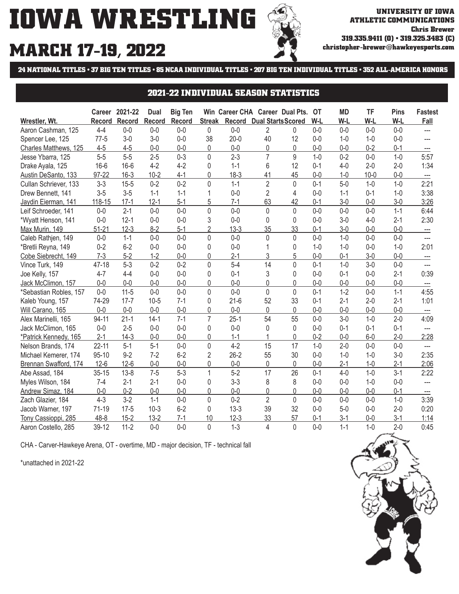

# **MARCH 17-19, 2022**

**24 NATIONAL TITLES • 37 BIG TEN TITLES • 85 NCAA INDIVIDUAL TITLES • 207 BIG TEN INDIVIDUAL TITLES • 352 ALL-AMERICA HONORS**

# **2021-22 INDIVIDUAL SEASON STATISTICS**

|                        | Career        | 2021-22  | Dual     | <b>Big Ten</b> |                |          | Win Career CHA Career Dual Pts. |                | OТ      | MD      | TF       | <b>Pins</b> | <b>Fastest</b>                    |
|------------------------|---------------|----------|----------|----------------|----------------|----------|---------------------------------|----------------|---------|---------|----------|-------------|-----------------------------------|
| Wrestler, Wt.          | <b>Record</b> | Record   | Record   | <b>Record</b>  | <b>Streak</b>  | Record   | <b>Dual Starts Scored</b>       |                | W-L     | W-L     | W-L      | W-L         | Fall                              |
| Aaron Cashman, 125     | $4 - 4$       | $0-0$    | $0-0$    | $0-0$          | 0              | $0-0$    | 2                               | 0              | $0-0$   | $0-0$   | $0 - 0$  | $0 - 0$     | $\overline{a}$                    |
| Spencer Lee, 125       | $77-5$        | $3-0$    | $3-0$    | $0-0$          | 38             | $20 - 0$ | 40                              | 12             | $0 - 0$ | $1-0$   | $1 - 0$  | $0 - 0$     |                                   |
| Charles Matthews, 125  | $4 - 5$       | $4 - 5$  | $0-0$    | $0-0$          | 0              | $0-0$    | 0                               | 0              | $0 - 0$ | $0-0$   | $0 - 2$  | $0 - 1$     | ---                               |
| Jesse Ybarra, 125      | $5-5$         | $5-5$    | $2 - 5$  | $0 - 3$        | 0              | $2 - 3$  | $\overline{7}$                  | 9              | $1 - 0$ | $0 - 2$ | $0-0$    | $1 - 0$     | 5:57                              |
| Drake Ayala, 125       | $16-6$        | $16-6$   | $4 - 2$  | $4 - 2$        | $\Omega$       | $1 - 1$  | 6                               | 12             | $0 - 1$ | $4 - 0$ | $2 - 0$  | $2 - 0$     | 1:34                              |
| Austin DeSanto, 133    | 97-22         | $16 - 3$ | $10 - 2$ | $4 - 1$        | 0              | $18-3$   | 41                              | 45             | $0 - 0$ | $1 - 0$ | $10 - 0$ | $0-0$       | $\hspace{0.05cm} \dashrightarrow$ |
| Cullan Schriever, 133  | $3 - 3$       | $15 - 5$ | $0 - 2$  | $0 - 2$        | $\mathbf 0$    | $1 - 1$  | $\overline{2}$                  | 0              | $0 - 1$ | $5-0$   | $1 - 0$  | $1 - 0$     | 2:21                              |
| Drew Bennett, 141      | $3-5$         | $3-5$    | $1 - 1$  | $1 - 1$        | 1              | $0-0$    | $\overline{2}$                  | 4              | $0-0$   | $1 - 1$ | $0 - 1$  | $1 - 0$     | 3:38                              |
| Jaydin Eierman, 141    | 118-15        | $17-1$   | $12 - 1$ | $5-1$          | 5              | $7 - 1$  | 63                              | 42             | $0 - 1$ | $3-0$   | $0-0$    | $3 - 0$     | 3:26                              |
| Leif Schroeder, 141    | $0 - 0$       | $2 - 1$  | $0 - 0$  | $0 - 0$        | $\Omega$       | $0 - 0$  | 0                               | $\Omega$       | $0 - 0$ | $0-0$   | $0 - 0$  | $1 - 1$     | 6:44                              |
| *Wyatt Henson, 141     | $0 - 0$       | $12 - 1$ | $0 - 0$  | $0 - 0$        | 3              | $0 - 0$  | 0                               | 0              | $0 - 0$ | $3-0$   | $4 - 0$  | $2 - 1$     | 2:30                              |
| Max Murin, 149         | $51 - 21$     | $12 - 3$ | $8 - 2$  | $5-1$          | $\overline{2}$ | $13-3$   | 35                              | 33             | $0 - 1$ | $3-0$   | $0 - 0$  | $0-0$       | ---                               |
| Caleb Rathjen, 149     | $0 - 0$       | $1 - 1$  | $0 - 0$  | $0 - 0$        | $\mathbf{0}$   | $0 - 0$  | 0                               | 0              | $0 - 0$ | $1 - 0$ | $0 - 0$  | $0 - 0$     | ---                               |
| *Bretli Reyna, 149     | $0 - 2$       | $6 - 2$  | $0-0$    | $0-0$          | 0              | $0-0$    |                                 | 0              | $1 - 0$ | $1-0$   | $0-0$    | $1 - 0$     | 2:01                              |
| Cobe Siebrecht, 149    | $7-3$         | $5-2$    | $1-2$    | $0 - 0$        | 0              | $2 - 1$  | 3                               | 5              | $0-0$   | $0 - 1$ | $3 - 0$  | $0-0$       | ---                               |
| Vince Turk, 149        | 47-18         | $5 - 3$  | $0 - 2$  | $0 - 2$        | $\mathbf{0}$   | $5-4$    | 14                              | $\overline{0}$ | $0 - 1$ | $1 - 0$ | $3 - 0$  | $0 - 0$     | $\overline{a}$                    |
| Joe Kelly, 157         | $4 - 7$       | $4 - 4$  | $0-0$    | $0-0$          | 0              | $0 - 1$  | 3                               | 0              | $0 - 0$ | $0 - 1$ | $0 - 0$  | $2 - 1$     | 0:39                              |
| Jack McClimon, 157     | $0-0$         | $0 - 0$  | $0 - 0$  | $0 - 0$        | 0              | $0 - 0$  | $\Omega$                        | 0              | $0 - 0$ | $0 - 0$ | $0 - 0$  | $0 - 0$     |                                   |
| *Sebastian Robles, 157 | $0-0$         | $11 - 5$ | $0 - 0$  | $0 - 0$        | $\mathbf{0}$   | $0 - 0$  | 0                               | $\Omega$       | $0 - 1$ | $1 - 2$ | $0 - 0$  | $1 - 1$     | 4:55                              |
| Kaleb Young, 157       | 74-29         | $17 - 7$ | $10 - 5$ | $7 - 1$        | $\mathbf{0}$   | $21-6$   | 52                              | 33             | $0 - 1$ | $2-1$   | $2 - 0$  | $2 - 1$     | 1:01                              |
| Will Carano, 165       | $0-0$         | $0 - 0$  | $0-0$    | $0-0$          | 0              | $0-0$    | 0                               | 0              | $0 - 0$ | $0-0$   | $0-0$    | $0 - 0$     | ---                               |
| Alex Marinelli, 165    | 94-11         | $21 - 1$ | $14-1$   | $7 - 1$        | $\overline{7}$ | $25-1$   | 54                              | 55             | $0 - 0$ | $3-0$   | $1 - 0$  | $2 - 0$     | 4:09                              |
| Jack McClimon, 165     | $0-0$         | $2 - 5$  | $0-0$    | $0 - 0$        | $\Omega$       | $0-0$    | 0                               | $\Omega$       | $0 - 0$ | $0 - 1$ | $0 - 1$  | $0 - 1$     | $---$                             |
| *Patrick Kennedy, 165  | $2 - 1$       | $14-3$   | $0 - 0$  | $0 - 0$        | 0              | $1 - 1$  |                                 | 0              | $0 - 2$ | $0 - 0$ | $6-0$    | $2 - 0$     | 2:28                              |
| Nelson Brands, 174     | $22 - 11$     | $5-1$    | $5-1$    | $0 - 0$        | $\mathbf 0$    | $4 - 2$  | 15                              | 17             | $1 - 0$ | $2 - 0$ | $0 - 0$  | $0 - 0$     | ---                               |
| Michael Kemerer, 174   | $95 - 10$     | $9 - 2$  | $7 - 2$  | $6 - 2$        | $\overline{2}$ | $26 - 2$ | 55                              | 30             | $0 - 0$ | $1 - 0$ | $1 - 0$  | $3-0$       | 2:35                              |
| Brennan Swafford, 174  | $12-6$        | $12 - 6$ | $0-0$    | $0-0$          | 0              | $0-0$    | 0                               | 0              | $0-0$   | $2-1$   | $1 - 0$  | $2 - 1$     | 2:06                              |
| Abe Assad, 184         | $35 - 15$     | $13 - 8$ | $7 - 5$  | $5 - 3$        | 1              | $5-2$    | 17                              | 26             | $0 - 1$ | $4-0$   | $1 - 0$  | $3 - 1$     | 2:22                              |
| Myles Wilson, 184      | $7 - 4$       | $2 - 1$  | $2 - 1$  | $0 - 0$        | $\Omega$       | $3 - 3$  | 8                               | 8              | $0 - 0$ | $0-0$   | $1 - 0$  | $0 - 0$     | $\overline{a}$                    |
| Andrew Simaz, 184      | $0 - 0$       | $0 - 2$  | $0-0$    | $0 - 0$        | $\mathbf{0}$   | $0-0$    | 0                               | 0              | $0 - 0$ | $0-0$   | $0 - 0$  | $0 - 1$     | ---                               |
| Zach Glazier, 184      | $4 - 3$       | $3 - 2$  | $1 - 1$  | $0-0$          | 0              | $0 - 2$  | $\overline{2}$                  | $\mathbf{0}$   | $0 - 0$ | $0-0$   | $0 - 0$  | $1 - 0$     | 3:39                              |
| Jacob Warner, 197      | $71-19$       | $17 - 5$ | $10-3$   | $6 - 2$        | $\mathbf{0}$   | $13 - 3$ | 39                              | 32             | $0 - 0$ | $5-0$   | $0 - 0$  | $2 - 0$     | 0:20                              |
| Cassioppi, 285<br>Tony | $48 - 8$      | $15 - 2$ | $13 - 2$ | $7-1$          | 10             | $12-3$   | 33                              | 57             | $0 - 1$ | $3-1$   | $0 - 0$  | $3 - 1$     | 1:14                              |
| Aaron Costello, 285    | 39-12         | $11 - 2$ | $0 - 0$  | $0 - 0$        | $\mathbf{0}$   | $1 - 3$  | $\overline{4}$                  | $\mathbf{0}$   | $0 - 0$ | $1 - 1$ | $1 - 0$  | $2 - 0$     | 0:45                              |

CHA - Carver-Hawkeye Arena, OT - overtime, MD - major decision, TF - technical fall

\*unattached in 2021-22

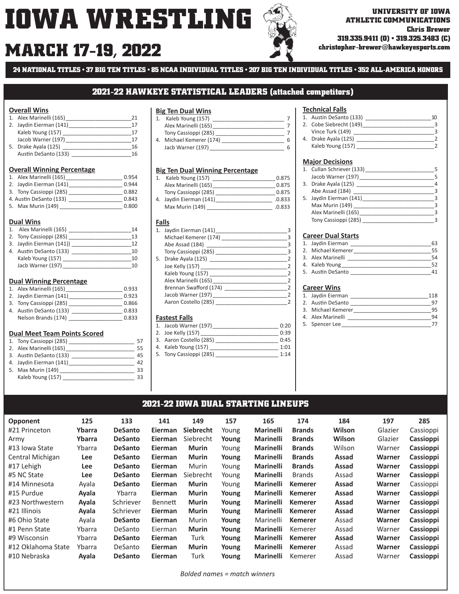# **MARCH 17 christopher-brewer@hawkeyesports.com -19, 2022**

**ATHLETIC COMMUNICATIONS Chris Brewer 319.335.9411 (O) • 319.325.3483 (C)**

**24 NATIONAL TITLES • 37 BIG TEN TITLES • 85 NCAA INDIVIDUAL TITLES • 207 BIG TEN INDIVIDUAL TITLES • 352 ALL-AMERICA HONORS**

## **2021-22 HAWKEYE STATISTICAL LEADERS (attached competitors)**

### **Overall Wins**

|    | 1. Alex Marinelli (165) |    |
|----|-------------------------|----|
|    | 2. Jaydin Eierman (141) | 17 |
|    | Kaleb Young (157)       | 17 |
|    | Jacob Warner (197)      | 17 |
| 5. | Drake Ayala (125)       | 16 |
|    | Austin DeSanto (133)    | 16 |

#### **Overall Winning Percentage**

| 1. Alex Marinelli (165) | 0.954 |
|-------------------------|-------|
| 2. Jaydin Eierman (141) | 0.944 |
| 3. Tony Cassioppi (285) | 0.882 |
| 4. Austin DeSanto (133) | 0.843 |
|                         |       |

5. Max Murin (149) \_\_\_\_\_\_\_\_\_\_\_\_\_\_\_\_\_\_\_\_\_ 0.800

#### **Dual Wins**

| 1. Alex Marinelli (165)  | 14 |
|--------------------------|----|
| 2. Tony Cassioppi (285)  | 13 |
| 3. Jaydin Eierman (141)) | 12 |
| 4. Austin DeSanto (133)  | 10 |
| Kaleb Young (157)        | 10 |
| Jacb Warner (197)        | 10 |

#### **Dual Winning Percentage**

| 1. Alex Marinelli (165) | 0.933 |
|-------------------------|-------|
| 2. Jaydin Eierman (141) | 0.923 |
| 3. Tony Cassioppi (285) | 0.866 |
| 4. Austin DeSanto (133) | 0.833 |
| Nelson Brands (174)     | 0.833 |

#### **Dual Meet Team Points Scored**

| 1. Tony Cassioppi (285) | 57 |
|-------------------------|----|
| 2. Alex Marinelli (165) | 55 |
| 3. Austin DeSanto (133) | 45 |
| 4. Jaydin Eierman (141) | 42 |
| 5. Max Murin (149)      | 33 |
| Kaleb Young (157)       | 33 |
|                         |    |

## **Big Ten Dual Wins**

| Kaleb Young (157)        |   |
|--------------------------|---|
| Alex Marinelli (165)     |   |
| Tony Cassioppi (285)     |   |
| 4. Michael Kemerer (174) | Б |
| Jacb Warner (197)        | հ |
|                          |   |

#### **Big Ten Dual Winning Percentage**

| Kaleb Young (157)       | 0.875  |
|-------------------------|--------|
| Alex Marinelli (165)    | 0.875  |
| Tony Cassioppi (285)    | 0.875  |
| 4. Jaydin Eierman (141) | .0.833 |
| Max Murin (149)         | 0.833  |

### **Falls**

| 1. Jaydin Eierman (141)                              |  |
|------------------------------------------------------|--|
| Michael Kemerer (174)                                |  |
| Abe Assad (184)<br>the control of the control of the |  |
| Tony Cassioppi (285)                                 |  |
| 5. Drake Ayala (125)                                 |  |
|                                                      |  |
| Kaleb Young (157)                                    |  |
| Alex Marinelli (165)                                 |  |
| Brennan Swafford (174)                               |  |
| Jacob Warner (197)                                   |  |
| Aaron Costello (285)                                 |  |
|                                                      |  |

### **Fastest Falls**

|  |  | 1. Jacob Warner (197) |  | 0:20 |
|--|--|-----------------------|--|------|
|--|--|-----------------------|--|------|

- 2. Joe Kelly (157) 0:39
- 3. Aaron Costello (285) \_\_\_\_\_\_\_\_\_\_\_\_\_\_\_\_\_\_\_\_\_ 0:45
- 4. Kaleb Young (157) \_\_\_\_\_\_\_\_\_\_\_\_\_\_\_\_\_\_\_\_\_\_\_\_\_\_\_\_\_\_\_\_\_\_\_ 1:01<br>5. Tony Cassioppi (285)  $1:14$
- 5. Tony Cassioppi (285)

### **Technical Falls**

| 1. Austin DeSanto (133) |  |
|-------------------------|--|
| 2. Cobe Siebrecht (149) |  |
| Vince Turk (149)        |  |
| 4. Drake Ayala (125)    |  |
| Kaleb Young (157)       |  |

### **Major Decisions**

| 1. Cullan Schriever (133) |   |
|---------------------------|---|
| Jacob Warner (197)        | 5 |
| 3. Drake Ayala (125)      | Δ |
| Abe Assad (184)           |   |
| 5. Jaydin Eierman (141)   |   |
| Max Murin (149)           |   |
| Alex Marinelli (165)      |   |
| Tony Cassioppi (285)      |   |

#### **Career Dual Starts**

| 1. Jaydin Eierman  | 63 |
|--------------------|----|
| 2. Michael Kemerer | 55 |
| 3. Alex Marinelli  | 54 |
| 4. Kaleb Young     | 52 |
| 5. Austin DeSanto  |    |

### **Career Wins**

| 1. Jaydin Eierman  | 118 |
|--------------------|-----|
| 2. Austin DeSanto  |     |
| 3. Michael Kemerer | 95  |
| 4. Alex Marinelli  | 94  |
| 5. Spencer Lee     |     |

# **2021-22 IOWA DUAL STARTING LINEUPS**

| <b>Opponent</b>    | 125        | 133            | 141            | 149              | 157   | 165              | 174            | 184    | 197     | 285       |
|--------------------|------------|----------------|----------------|------------------|-------|------------------|----------------|--------|---------|-----------|
| #21 Princeton      | Ybarra     | <b>DeSanto</b> | <b>Eierman</b> | <b>Siebrecht</b> | Young | <b>Marinelli</b> | <b>Brands</b>  | Wilson | Glazier | Cassioppi |
| Army               | Ybarra     | <b>DeSanto</b> | <b>Eierman</b> | Siebrecht        | Young | <b>Marinelli</b> | <b>Brands</b>  | Wilson | Glazier | Cassioppi |
| #13 Iowa State     | Ybarra     | <b>DeSanto</b> | <b>Eierman</b> | <b>Murin</b>     | Young | <b>Marinelli</b> | <b>Brands</b>  | Wilson | Warner  | Cassioppi |
| Central Michigan   | <b>Lee</b> | <b>DeSanto</b> | <b>Eierman</b> | <b>Murin</b>     | Young | <b>Marinelli</b> | <b>Brands</b>  | Assad  | Warner  | Cassioppi |
| #17 Lehigh         | Lee        | <b>DeSanto</b> | Eierman        | Murin            | Young | <b>Marinelli</b> | <b>Brands</b>  | Assad  | Warner  | Cassioppi |
| #5 NC State        | <b>Lee</b> | <b>DeSanto</b> | Eierman        | Siebrecht        | Young | <b>Marinelli</b> | <b>Brands</b>  | Assad  | Warner  | Cassioppi |
| #14 Minnesota      | Ayala      | <b>DeSanto</b> | <b>Eierman</b> | <b>Murin</b>     | Young | <b>Marinelli</b> | <b>Kemerer</b> | Assad  | Warner  | Cassioppi |
| #15 Purdue         | Ayala      | Ybarra         | <b>Eierman</b> | <b>Murin</b>     | Young | <b>Marinelli</b> | <b>Kemerer</b> | Assad  | Warner  | Cassioppi |
| #23 Northwestern   | Ayala      | Schriever      | Bennett        | <b>Murin</b>     | Young | <b>Marinelli</b> | <b>Kemerer</b> | Assad  | Warner  | Cassioppi |
| #21 Illinois       | Ayala      | Schriever      | <b>Eierman</b> | <b>Murin</b>     | Young | <b>Marinelli</b> | <b>Kemerer</b> | Assad  | Warner  | Cassioppi |
| #6 Ohio State      | Ayala      | <b>DeSanto</b> | <b>Eierman</b> | Murin            | Young | Marinelli        | <b>Kemerer</b> | Assad  | Warner  | Cassioppi |
| #1 Penn State      | Ybarra     | DeSanto        | Eierman        | <b>Murin</b>     | Young | <b>Marinelli</b> | Kemerer        | Assad  | Warner  | Cassioppi |
| #9 Wisconsin       | Ybarra     | <b>DeSanto</b> | Eierman        | Turk             | Young | <b>Marinelli</b> | <b>Kemerer</b> | Assad  | Warner  | Cassioppi |
| #12 Oklahoma State | Ybarra     | DeSanto        | Eierman        | <b>Murin</b>     | Young | <b>Marinelli</b> | <b>Kemerer</b> | Assad  | Warner  | Cassioppi |
| #10 Nebraska       | Ayala      | <b>DeSanto</b> | Eierman        | Turk             | Young | <b>Marinelli</b> | Kemerer        | Assad  | Warner  | Cassioppi |

*Bolded names = match winners*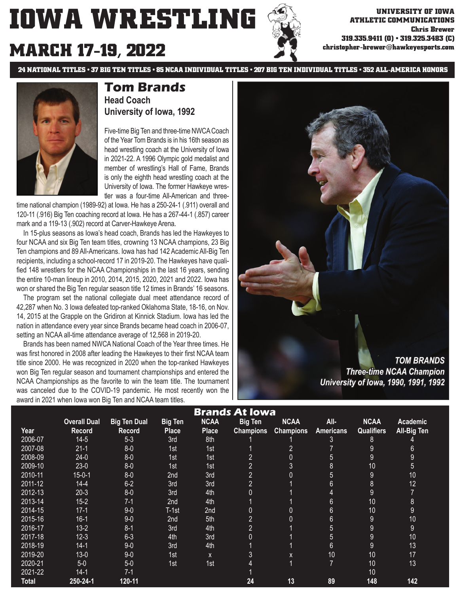# **MARCH 17-19, 2022**

**ATHLETIC COMMUNICATIONS Chris Brewer 319.335.9411 (O) • 319.325.3483 (C) christopher-brewer@hawkeyesports.com**

**24 NATIONAL TITLES • 37 BIG TEN TITLES • 85 NCAA INDIVIDUAL TITLES • 207 BIG TEN INDIVIDUAL TITLES • 352 ALL-AMERICA HONORS**



# **Tom Brands Head Coach University of Iowa, 1992**

Five-time Big Ten and three-time NWCA Coach of the Year Tom Brands is in his 16th season as head wrestling coach at the University of Iowa in 2021-22. A 1996 Olympic gold medalist and member of wrestling's Hall of Fame, Brands is only the eighth head wrestling coach at the University of Iowa. The former Hawkeye wrestler was a four-time All-American and three-

time national champion (1989-92) at Iowa. He has a 250-24-1 (.911) overall and 120-11 (.916) Big Ten coaching record at Iowa. He has a 267-44-1 (.857) career mark and a 119-13 (.902) record at Carver-Hawkeye Arena.

 In 15-plus seasons as Iowa's head coach, Brands has led the Hawkeyes to four NCAA and six Big Ten team titles, crowning 13 NCAA champions, 23 Big Ten champions and 89 All-Americans. Iowa has had 142 Academic All-Big Ten recipients, including a school-record 17 in 2019-20. The Hawkeyes have qualified 148 wrestlers for the NCAA Championships in the last 16 years, sending the entire 10-man lineup in 2010, 2014, 2015, 2020, 2021 and 2022. Iowa has won or shared the Big Ten regular season title 12 times in Brands' 16 seasons.

 The program set the national collegiate dual meet attendance record of 42,287 when No. 3 Iowa defeated top-ranked Oklahoma State, 18-16, on Nov. 14, 2015 at the Grapple on the Gridiron at Kinnick Stadium. Iowa has led the nation in attendance every year since Brands became head coach in 2006-07, setting an NCAA all-time attendance average of 12,568 in 2019-20.

 Brands has been named NWCA National Coach of the Year three times. He was first honored in 2008 after leading the Hawkeyes to their first NCAA team title since 2000. He was recognized in 2020 when the top-ranked Hawkeyes won Big Ten regular season and tournament championships and entered the NCAA Championships as the favorite to win the team title. The tournament was canceled due to the COVID-19 pandemic. He most recently won the award in 2021 when Iowa won Big Ten and NCAA team titles.



*University of Iowa, 1990, 1991, 1992 niversity* 

| <b>Brands At Iowa</b> |                     |                     |                |              |                  |                  |                  |                   |                 |  |
|-----------------------|---------------------|---------------------|----------------|--------------|------------------|------------------|------------------|-------------------|-----------------|--|
|                       | <b>Overall Dual</b> | <b>Big Ten Dual</b> | <b>Big Ten</b> | <b>NCAA</b>  | <b>Big Ten</b>   | <b>NCAA</b>      | All-             | <b>NCAA</b>       | <b>Academic</b> |  |
| Year                  | Record              | <b>Record</b>       | <b>Place</b>   | <b>Place</b> | <b>Champions</b> | <b>Champions</b> | <b>Americans</b> | <b>Qualifiers</b> | All-Big Ten     |  |
| 2006-07               | $14-5$              | $5 - 3$             | 3rd            | 8th          |                  |                  | 3                | 8                 |                 |  |
| 2007-08               | $21 - 1$            | $8-0$               | 1st            | 1st          |                  | $\overline{2}$   | $\overline{7}$   | $9\,$             | $6\phantom{1}$  |  |
| 2008-09               | $24-0$              | $8-0$               | 1st            | 1st          | $\overline{2}$   | 0                | 5                | $9\,$             | 9               |  |
| 2009-10               | $23-0$              | $8-0$               | 1st            | 1st          | $\overline{2}$   | 3                | 8                | 10                | 5               |  |
| 2010-11               | $15 - 0 - 1$        | $8-0$               | 2nd            | 3rd          | $\overline{2}$   | 0                | 5                | $9\,$             | 10              |  |
| 2011-12               | $14 - 4$            | $6 - 2$             | 3rd            | 3rd          | $\overline{2}$   |                  | $6\phantom{1}$   | $\bf 8$           | 12              |  |
| 2012-13               | $20-3$              | $8-0$               | 3rd            | 4th          | $\overline{0}$   |                  | 4                | 9                 | $\overline{7}$  |  |
| 2013-14               | $15 - 2$            | $7-1$               | 2nd            | 4th          |                  |                  | $6\phantom{1}$   | 10                | 8               |  |
| 2014-15               | $17-1$              | $9-0$               | T-1st          | 2nd          | 0                | 0                | $6\phantom{1}$   | 10                | 9               |  |
| 2015-16               | $16-1$              | $9-0$               | 2nd            | 5th          | $\overline{2}$   | 0                | $6\phantom{1}$   | $9\,$             | 10              |  |
| 2016-17               | $13-2$              | $8 - 1$             | 3rd            | 4th          | 2 <sup>1</sup>   |                  | 5                | $9\,$             | 9               |  |
| 2017-18               | $12 - 3$            | $6 - 3$             | 4th            | 3rd          | $\overline{0}$   |                  | 5                | 9                 | 10              |  |
| 2018-19               | $14-1$              | $9-0$               | 3rd            | 4th          |                  |                  | $6\phantom{1}$   | 9                 | 13              |  |
| 2019-20               | $13 - 0$            | $9-0$               | 1st            | X            | 3                | X                | 10               | 10                | 17              |  |
| 2020-21               | $5-0$               | $5-0$               | 1st            | 1st          | 4                | 1                | 7                | 10                | 13              |  |
| 2021-22               | $14-1$              | $7-1$               |                |              |                  |                  |                  | 10                |                 |  |
| <b>Total</b>          | 250-24-1            | $120 - 11$          |                |              | 24               | 13               | 89               | 148               | 142             |  |